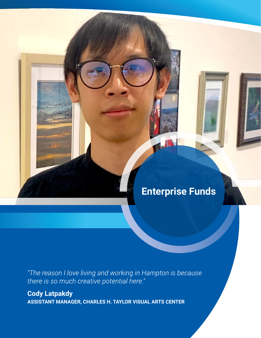# **Enterprise Funds**

"The reason I love living and working in Hampton is because there is so much creative potential here."

**Cody Latpakdy ASSISTANT MANAGER, CHARLES H. TAYLOR VISUAL ARTS CENTER**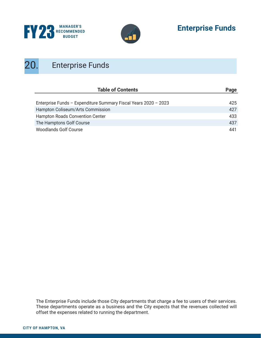



# **Enterprise Funds**

# 20. Enterprise Funds

| <b>Table of Contents</b>                                        | Page |
|-----------------------------------------------------------------|------|
|                                                                 |      |
| Enterprise Funds - Expenditure Summary Fiscal Years 2020 - 2023 | 425  |
| Hampton Coliseum/Arts Commission                                | 427  |
| <b>Hampton Roads Convention Center</b>                          | 433  |
| The Hamptons Golf Course                                        | 437  |
| <b>Woodlands Golf Course</b>                                    | 441  |

The Enterprise Funds include those City departments that charge a fee to users of their services. These departments operate as a business and the City expects that the revenues collected will offset the expenses related to running the department.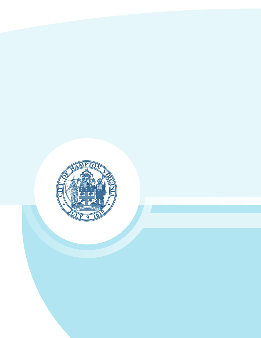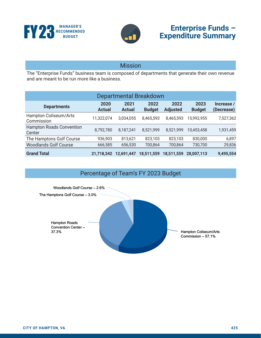



# **Enterprise Funds – Expenditure Summary**

## Mission

The "Enterprise Funds" business team is composed of departments that generate their own revenue and are meant to be run more like a business.

| Departmental Breakdown                    |                       |                       |                       |                         |                       |                          |  |  |
|-------------------------------------------|-----------------------|-----------------------|-----------------------|-------------------------|-----------------------|--------------------------|--|--|
| <b>Departments</b>                        | 2020<br><b>Actual</b> | 2021<br><b>Actual</b> | 2022<br><b>Budget</b> | 2022<br><b>Adjusted</b> | 2023<br><b>Budget</b> | Increase /<br>(Decrease) |  |  |
| Hampton Coliseum/Arts<br>Commission       | 11,322,074            | 3,034,055             | 8,465,593             | 8,465,593               | 15,992,955            | 7,527,362                |  |  |
| <b>Hampton Roads Convention</b><br>Center | 8,792,780             | 8,187,241             | 8,521,999             | 8,521,999               | 10,453,458            | 1,931,459                |  |  |
| The Hamptons Golf Course                  | 936,903               | 813,621               | 823,103               | 823,103                 | 830,000               | 6,897                    |  |  |
| <b>Woodlands Golf Course</b>              | 666,585               | 656,530               | 700,864               | 700,864                 | 730,700               | 29,836                   |  |  |
| <b>Grand Total</b>                        | 21,718,342            | 12,691,447            | 18,511,559            | 18,511,559              | 28.007.113            | 9,495,554                |  |  |

# Percentage of Team's FY 2023 Budget

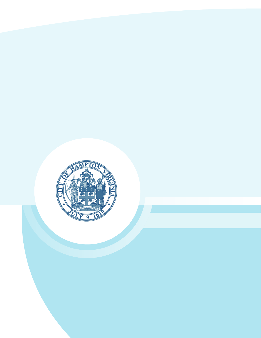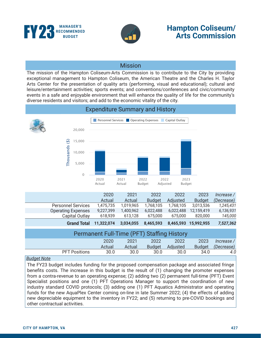



## Mission

The mission of the Hampton Coliseum-Arts Commission is to contribute to the City by providing exceptional management to Hampton Coliseum, the American Theatre and the Charles H. Taylor Arts Center for the presentation of quality arts (performing, visual and educational); cultural and leisure/entertainment activities; sports events; and conventions/conferences and civic/community events in a safe and enjoyable environment that will enhance the quality of life for the community's diverse residents and visitors; and add to the economic vitality of the city.



## Expenditure Summary and History

| <b>Grand Total</b>        | 11,322,074 | 3,034,055 | 8,465,593     | 8,465,593 | 15,992,955    | 7,527,362  |
|---------------------------|------------|-----------|---------------|-----------|---------------|------------|
| Capital Outlay            | 618,939    | 613,128   | 675,000       | 675,000   | 820,000       | 145,000    |
| <b>Operating Expenses</b> | 9,227,399  | 1,400,962 | 6,022,488     | 6,022,488 | 12,159,419    | 6,136,931  |
| <b>Personnel Services</b> | 1,475,735  | 1,019,965 | 1,768,105     | 1,768,105 | 3,013,536     | 1,245,431  |
|                           | Actual     | Actual    | <b>Budget</b> | Adjusted  | <b>Budget</b> | (Decrease) |
|                           | 2020       | 2021      | 2022          | 2022      | 2023          | Increase / |
|                           |            |           |               |           |               |            |

### Permanent Full-Time (PFT) Staffing History 2020 Actual 2021 Actual 2022 Budget 2022 **Adjusted** 2023 Budget *Increase / (Decrease)* PFT Positions 30.0 30.0 30.0 30.0 34.0 *4.0*

## *Budget Note*

The FY23 budget includes funding for the proposed compensation package and associated fringe benefits costs. The increase in this budget is the result of (1) changing the promoter expenses from a contra-revenue to an operating expense; (2) adding two (2) permanent full-time (PFT) Event Specialist positions and one (1) PFT Operations Manager to support the coordination of new industry standard COVID protocols; (3) adding one (1) PFT Aquatics Administrator and operating funds for the new AquaPlex Center coming on-line in late Summer 2022; (4) the effects of adding new depreciable equipment to the inventory in FY22; and (5) returning to pre-COVID bookings and other contractual activities.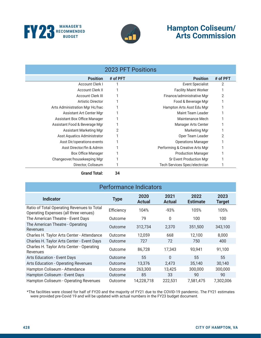



# 2023 PFT Positions

| <b>Position</b>                | $#$ of PFT | <b>Position</b>                | # of PFT       |
|--------------------------------|------------|--------------------------------|----------------|
| <b>Account Clerk I</b>         |            | <b>Event Specialist</b>        | 2              |
| Account Clerk II               |            | <b>Facility Maint Worker</b>   |                |
| <b>Account Clerk III</b>       |            | Finance/administrative Mgr     | $\overline{2}$ |
| <b>Artistic Director</b>       |            | Food & Beverage Mgr            |                |
| Arts Administration Mgr Hc/hac |            | Hampton Arts Asst Edu Mgr      |                |
| Assistant Art Center Mgr       |            | Maint Team Leader              |                |
| Assistant Box Office Manager   |            | Maintenance Mech               |                |
| Assistant Food & Beverage Mgr  |            | Manager Arts Center            |                |
| Assistant Marketing Mgr        | 2          | Marketing Mgr                  |                |
| Asst Aquatics Administrator    |            | Oper Team Leader               | 2              |
| Asst Dir/operations-events     |            | <b>Operations Manager</b>      |                |
| Asst Director/fin & Admin      |            | Performing & Creative Arts Mgr |                |
| <b>Box Office Manager</b>      |            | <b>Production Manager</b>      |                |
| Changeover/housekeeping Mgr    |            | Sr Event Production Mgr        |                |
| Director, Coliseum             |            | Tech Services Spec/electrcian  |                |

**Grand Total: 34**

| <b>Performance Indicators</b>                                                       |             |                       |                       |                         |                       |  |  |  |
|-------------------------------------------------------------------------------------|-------------|-----------------------|-----------------------|-------------------------|-----------------------|--|--|--|
| <b>Indicator</b>                                                                    | <b>Type</b> | 2020<br><b>Actual</b> | 2021<br><b>Actual</b> | 2022<br><b>Estimate</b> | 2023<br><b>Target</b> |  |  |  |
| Ratio of Total Operating Revenues to Total<br>Operating Expenses (all three venues) | Efficiency  | 104%                  | $-93%$                | 105%                    | 105%                  |  |  |  |
| The American Theatre - Event Days                                                   | Outcome     | 79                    | 0                     | 100                     | 100                   |  |  |  |
| The American Theatre - Operating<br>Revenues                                        | Outcome     | 312,734               | 2,370                 | 351,500                 | 343,100               |  |  |  |
| Charles H. Taylor Arts Center - Attendance                                          | Outcome     | 12,059                | 668                   | 12,100                  | 8,000                 |  |  |  |
| Charles H. Taylor Arts Center - Event Days                                          | Outcome     | 727                   | 72                    | 750                     | 400                   |  |  |  |
| Charles H. Taylor Arts Center - Operating<br>Revenues                               | Outcome     | 86,728                | 17,343                | 93,941                  | 91,100                |  |  |  |
| Arts Education - Event Days                                                         | Outcome     | 55                    | $\Omega$              | 55                      | 55                    |  |  |  |
| <b>Arts Education - Operating Revenues</b>                                          | Outcome     | 13,376                | 2,473                 | 35,140                  | 30,140                |  |  |  |
| Hampton Coliseum - Attendance                                                       | Outcome     | 263,300               | 13,425                | 300,000                 | 300,000               |  |  |  |
| Hampton Coliseum - Event Days                                                       | Outcome     | 85                    | 33                    | 90                      | 90                    |  |  |  |
| Hampton Coliseum - Operating Revenues                                               | Outcome     | 14,228,718            | 222,531               | 7.581.475               | 7,302,006             |  |  |  |

\*The facilities were closed for half of FY20 and the majority of FY21 due to the COVID-19 pandemic. The FY21 estimates were provided pre-Covid 19 and will be updated with actual numbers in the FY23 budget document.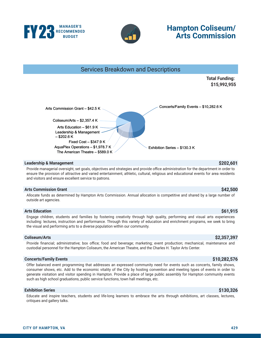





### **Leadership & Management \$202,601**

Provide managerial oversight, set goals, objectives and strategies and provide office administration for the department in order to ensure the provision of attractive and varied entertainment, athletic, cultural, religious and educational events for area residents and visitors and ensure excellent service to patrons.

### **Arts Commission Grant \$42,500**

Allocate funds as determined by Hampton Arts Commission. Annual allocation is competitive and shared by a large number of outside art agencies.

## **Arts Education \$61,915**

Engage children, students and families by fostering creativity through high quality, performing and visual arts experiences including: lectures, instruction and performance. Through this variety of education and enrichment programs, we seek to bring the visual and performing arts to a diverse population within our community.

### **Coliseum/Arts \$2,357,397**

Provide financial; administrative; box office; food and beverage; marketing; event production; mechanical, maintenance and custodial personnel for the Hampton Coliseum, the American Theatre, and the Charles H. Taylor Arts Center.

### **Concerts/Family Events \$10,282,576**

Offer balanced event programming that addresses an expressed community need for events such as concerts, family shows, consumer shows, etc. Add to the economic vitality of the City by hosting convention and meeting types of events in order to generate visitation and visitor spending in Hampton. Provide a place of large public assembly for Hampton community events such as high school graduations, public service functions, town hall meetings, etc.

## **Exhibition Series \$130,326**

Educate and inspire teachers, students and life-long learners to embrace the arts through exhibitions, art classes, lectures, critiques and gallery talks.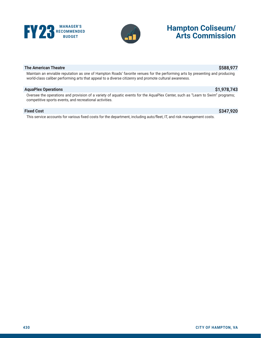## **The American Theatre <b>\$588,977 CONSERVATION CONSERVATION CONSERVATION CONSERVATION**

Maintain an enviable reputation as one of Hampton Roads' favorite venues for the performing arts by presenting and producing world-class caliber performing arts that appeal to a diverse citizenry and promote cultural awareness.

## **AquaPlex Operations \$1,978,743**

Oversee the operations and provision of a variety of aquatic events for the AquaPlex Center, such as "Learn to Swim" programs; competitive sports events, and recreational activities.

## **Fixed Cost \$347,920**

This service accounts for various fixed costs for the department, including auto/fleet, IT, and risk management costs.

## **Manager's Recommended BUDGET**



### **430 CITY OF HAMPTON, VA**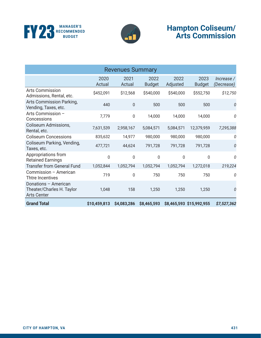



| <b>Revenues Summary</b>                                                 |                |                  |                       |                  |                          |                         |  |  |
|-------------------------------------------------------------------------|----------------|------------------|-----------------------|------------------|--------------------------|-------------------------|--|--|
|                                                                         | 2020<br>Actual | 2021<br>Actual   | 2022<br><b>Budget</b> | 2022<br>Adjusted | 2023<br><b>Budget</b>    | Increase/<br>(Decrease) |  |  |
| <b>Arts Commission</b><br>Admissions, Rental, etc.                      | \$452,091      | \$12,568         | \$540,000             | \$540,000        | \$552,750                | \$12,750                |  |  |
| Arts Commission Parking,<br>Vending, Taxes, etc.                        | 440            | $\boldsymbol{0}$ | 500                   | 500              | 500                      | $\boldsymbol{0}$        |  |  |
| Arts Commission -<br>Concessions                                        | 7,779          | $\boldsymbol{0}$ | 14,000                | 14,000           | 14,000                   | 0                       |  |  |
| Coliseum Admissions,<br>Rental, etc.                                    | 7,631,539      | 2,958,167        | 5,084,571             | 5,084,571        | 12,379,959               | 7,295,388               |  |  |
| <b>Coliseum Concessions</b>                                             | 835,632        | 14,977           | 980,000               | 980,000          | 980,000                  | 0                       |  |  |
| Coliseum Parking, Vending,<br>Taxes, etc.                               | 477,721        | 44,624           | 791,728               | 791,728          | 791,728                  | 0                       |  |  |
| Appropriations from<br><b>Retained Earnings</b>                         | 0              | $\pmb{0}$        | 0                     | $\mathbf 0$      | 0                        | $\it{0}$                |  |  |
| <b>Transfer from General Fund</b>                                       | 1,052,844      | 1,052,794        | 1,052,794             | 1,052,794        | 1,272,018                | 219,224                 |  |  |
| Commission - American<br>Thtre Incentives                               | 719            | $\boldsymbol{0}$ | 750                   | 750              | 750                      | 0                       |  |  |
| Donations - American<br>Theater/Charles H. Taylor<br><b>Arts Center</b> | 1,048          | 158              | 1,250                 | 1,250            | 1,250                    | 0                       |  |  |
| <b>Grand Total</b>                                                      | \$10,459,813   | \$4,083,286      | \$8,465,593           |                  | \$8,465,593 \$15,992,955 | \$7,527,362             |  |  |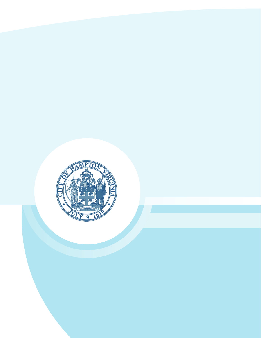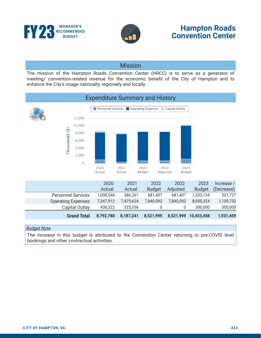



## **Mission**

The mission of the Hampton Roads Convention Center (HRCC) is to serve as a generator of meeting/ convention-related revenue for the economic benefit of the City of Hampton and to enhance the City's image nationally, regionally and locally.



## *Budget Note*

The increase in this budget is attributed to the Convention Center returning to pre-COVID level bookings and other contractual activities.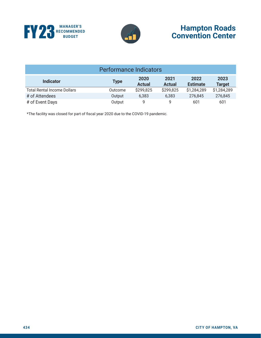



# **Hampton Roads Convention Center**

| <b>Performance Indicators</b>      |             |                       |                       |                         |                       |  |  |  |
|------------------------------------|-------------|-----------------------|-----------------------|-------------------------|-----------------------|--|--|--|
| <b>Indicator</b>                   | <b>Type</b> | 2020<br><b>Actual</b> | 2021<br><b>Actual</b> | 2022<br><b>Estimate</b> | 2023<br><b>Target</b> |  |  |  |
| <b>Total Rental Income Dollars</b> | Outcome     | \$299,825             | \$299,825             | \$1,284,289             | \$1,284,289           |  |  |  |
| # of Attendees                     | Output      | 6,383                 | 6,383                 | 276,845                 | 276,845               |  |  |  |
| # of Event Days                    | Output      | q                     | q                     | 601                     | 601                   |  |  |  |

\*The facility was closed for part of fiscal year 2020 due to the COVID-19 pandemic.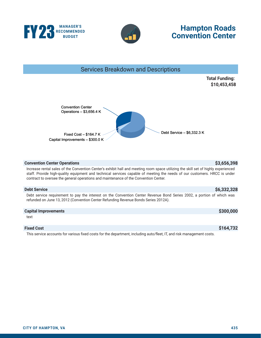



# **Hampton Roads Convention Center**



## **Convention Center Operations \$3,656,398**

Increase rental sales of the Convention Center's exhibit hall and meeting room space utilizing the skill set of highly experienced staff. Provide high-quality equipment and technical services capable of meeting the needs of our customers. HRCC is under contract to oversee the general operations and maintenance of the Convention Center.

| <b>Debt Service</b>                                                                                                                                                                                           | \$6,332,328 |
|---------------------------------------------------------------------------------------------------------------------------------------------------------------------------------------------------------------|-------------|
| Debt service requirement to pay the interest on the Convention Center Revenue Bond Series 2002, a portion of which was<br>refunded on June 13, 2012 (Convention Center Refunding Revenue Bonds Series 2012A). |             |
| <b>Capital Improvements</b>                                                                                                                                                                                   | \$300,000   |
| text                                                                                                                                                                                                          |             |
| <b>Fixed Cost</b>                                                                                                                                                                                             | \$164,732   |

This service accounts for various fixed costs for the department, including auto/fleet, IT, and risk management costs.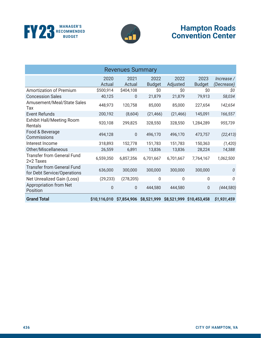



# **Hampton Roads Convention Center**

| <b>Revenues Summary</b>                                          |                                                               |                |                       |                  |                       |                         |  |
|------------------------------------------------------------------|---------------------------------------------------------------|----------------|-----------------------|------------------|-----------------------|-------------------------|--|
|                                                                  | 2020<br>Actual                                                | 2021<br>Actual | 2022<br><b>Budget</b> | 2022<br>Adjusted | 2023<br><b>Budget</b> | Increase/<br>(Decrease) |  |
| <b>Amortization of Premium</b>                                   | \$500,914                                                     | \$404,108      | \$0                   | \$0              | \$0                   | \$0                     |  |
| <b>Concession Sales</b>                                          | 40,125                                                        | 0              | 21,879                | 21,879           | 79,913                | 58,034                  |  |
| Amusement/Meal/State Sales<br>Tax                                | 448,973                                                       | 120,758        | 85,000                | 85,000           | 227,654               | 142,654                 |  |
| <b>Event Refunds</b>                                             | 200,192                                                       | (8,604)        | (21, 466)             | (21, 466)        | 145,091               | 166,557                 |  |
| <b>Exhibit Hall/Meeting Room</b><br>Rentals                      | 920,108                                                       | 299,825        | 328,550               | 328,550          | 1,284,289             | 955,739                 |  |
| Food & Beverage<br>Commissions                                   | 494,128                                                       | $\mathbf{0}$   | 496,170               | 496,170          | 473,757               | (22, 413)               |  |
| Interest Income                                                  | 318,893                                                       | 152,778        | 151,783               | 151,783          | 150,363               | (1,420)                 |  |
| Other/Miscellaneous                                              | 26,559                                                        | 6,891          | 13,836                | 13,836           | 28,224                | 14,388                  |  |
| <b>Transfer from General Fund</b><br>2+2 Taxes                   | 6,559,350                                                     | 6,857,356      | 6,701,667             | 6,701,667        | 7,764,167             | 1,062,500               |  |
| <b>Transfer from General Fund</b><br>for Debt Service/Operations | 636,000                                                       | 300,000        | 300,000               | 300,000          | 300,000               | 0                       |  |
| Net Unrealized Gain (Loss)                                       | (29, 233)                                                     | (278, 205)     | $\overline{0}$        | 0                | $\mathbf 0$           | 0                       |  |
| Appropriation from Net<br>Position                               | $\mathbf{0}$                                                  | 0              | 444,580               | 444,580          | $\overline{0}$        | (444, 580)              |  |
| <b>Grand Total</b>                                               | \$10,116,010 \$7,854,906 \$8,521,999 \$8,521,999 \$10,453,458 |                |                       |                  |                       | \$1,931,459             |  |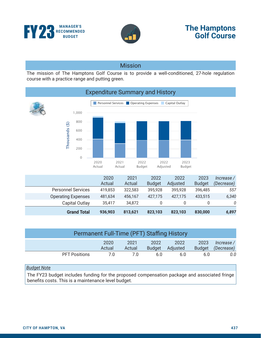





## Mission

The mission of The Hamptons Golf Course is to provide a well-conditioned, 27-hole regulation course with a practice range and putting green.



|                           | 2020    | 2021    | 2022          | 2022     | 2023          | Increase / |
|---------------------------|---------|---------|---------------|----------|---------------|------------|
|                           | Actual  | Actual  | <b>Budget</b> | Adjusted | <b>Budget</b> | (Decrease) |
| <b>Personnel Services</b> | 419.853 | 322,583 | 395,928       | 395,928  | 396,485       | 557        |
| <b>Operating Expenses</b> | 481,634 | 456,167 | 427,175       | 427,175  | 433,515       | 6,340      |
| Capital Outlay            | 35,417  | 34.872  |               |          |               | 0          |
| <b>Grand Total</b>        | 936,903 | 813,621 | 823,103       | 823,103  | 830,000       | 6,897      |

| Permanent Full-Time (PFT) Staffing History                                                   |                      |                |                |                       |                  |                       |                          |  |
|----------------------------------------------------------------------------------------------|----------------------|----------------|----------------|-----------------------|------------------|-----------------------|--------------------------|--|
|                                                                                              |                      | 2020<br>Actual | 2021<br>Actual | 2022<br><b>Budget</b> | 2022<br>Adjusted | 2023<br><b>Budget</b> | Increase /<br>(Decrease) |  |
|                                                                                              | <b>PFT Positions</b> | 7.0            | 7.0            | 6.0                   | 6.0              | 6.0                   | 0.0                      |  |
| <b>Budget Note</b>                                                                           |                      |                |                |                       |                  |                       |                          |  |
| The EV23 hudget includes funding for the proposed compensation package and associated fringe |                      |                |                |                       |                  |                       |                          |  |

The FY23 budget includes funding for the proposed compensation package and associated fringe benefits costs. This is a maintenance level budget.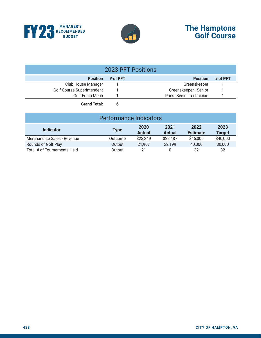





|                            |          | <b>2023 PFT Positions</b> |          |
|----------------------------|----------|---------------------------|----------|
| <b>Position</b>            | # of PFT | <b>Position</b>           | # of PFT |
| Club House Manager         |          | Greenskeeper              |          |
| Golf Course Superintendent |          | Greenskeeper - Senior     |          |
| Golf Equip Mech            |          | Parks Senior Technician   |          |
| <b>Grand Total:</b>        | b        |                           |          |

| <b>Performance Indicators</b> |             |                       |                       |                         |                       |  |  |
|-------------------------------|-------------|-----------------------|-----------------------|-------------------------|-----------------------|--|--|
| <b>Indicator</b>              | <b>Type</b> | 2020<br><b>Actual</b> | 2021<br><b>Actual</b> | 2022<br><b>Estimate</b> | 2023<br><b>Target</b> |  |  |
| Merchandise Sales - Revenue   | Outcome     | \$23,349              | \$22,487              | \$45,000                | \$40,000              |  |  |
| Rounds of Golf Play           | Output      | 21,907                | 22,199                | 40,000                  | 30,000                |  |  |
| Total # of Tournaments Held   | Output      | 21                    | $\Omega$              | 32                      | 32                    |  |  |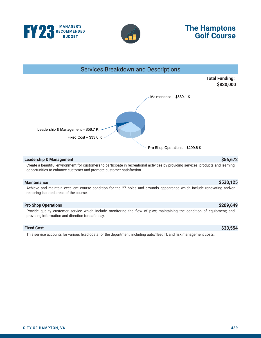







## **Leadership & Management \$56,672**

Create a beautiful environment for customers to participate in recreational activities by providing services, products and learning opportunities to enhance customer and promote customer satisfaction.

## **Maintenance \$530,125**

Achieve and maintain excellent course condition for the 27 holes and grounds appearance which include renovating and/or restoring isolated areas of the course.

## **Pro Shop Operations \$209,649**

Provide quality customer service which include monitoring the flow of play; maintaining the condition of equipment; and providing information and direction for safe play.

## **Fixed Cost \$33,554**

This service accounts for various fixed costs for the department, including auto/fleet, IT, and risk management costs.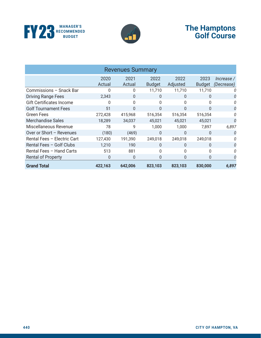



# **The Hamptons Golf Course**

| <b>Revenues Summary</b>         |                |                |                       |                  |                       |                          |  |  |
|---------------------------------|----------------|----------------|-----------------------|------------------|-----------------------|--------------------------|--|--|
|                                 | 2020<br>Actual | 2021<br>Actual | 2022<br><b>Budget</b> | 2022<br>Adjusted | 2023<br><b>Budget</b> | Increase /<br>(Decrease) |  |  |
| Commissions - Snack Bar         | $\Omega$       | 0              | 11,710                | 11,710           | 11,710                | 0                        |  |  |
| <b>Driving Range Fees</b>       | 2,343          | $\Omega$       | $\Omega$              | $\Omega$         | $\Omega$              | 0                        |  |  |
| <b>Gift Certificates Income</b> | <sup>0</sup>   | $\Omega$       | $\Omega$              | 0                | U                     | 0                        |  |  |
| <b>Golf Tournament Fees</b>     | 51             | $\Omega$       | $\Omega$              | $\Omega$         | $\Omega$              | $\theta$                 |  |  |
| Green Fees                      | 272,428        | 415,968        | 516,354               | 516,354          | 516,354               | O                        |  |  |
| <b>Merchandise Sales</b>        | 18,289         | 34,037         | 45,021                | 45,021           | 45,021                | 0                        |  |  |
| Miscellaneous Revenue           | 78             | 9              | 1,000                 | 1,000            | 7,897                 | 6,897                    |  |  |
| Over or Short - Revenues        | (180)          | (469)          | $\mathbf{0}$          | 0                | <sup>0</sup>          | 0                        |  |  |
| Rental Fees - Electric Cart     | 127,430        | 191,390        | 249,018               | 249,018          | 249,018               | 0                        |  |  |
| Rental Fees - Golf Clubs        | 1,210          | 190            | $\mathbf{0}$          | 0                | $\Omega$              | 0                        |  |  |
| Rental Fees - Hand Carts        | 513            | 881            | $\Omega$              | 0                | $\Omega$              | 0                        |  |  |
| <b>Rental of Property</b>       | $\Omega$       | 0              | $\mathbf 0$           | 0                | $\Omega$              | 0                        |  |  |
| <b>Grand Total</b>              | 422,163        | 642,006        | 823,103               | 823,103          | 830,000               | 6,897                    |  |  |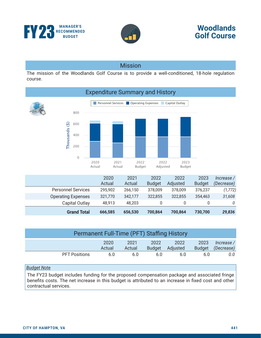



# **Woodlands Golf Course**

## Mission

The mission of the Woodlands Golf Course is to provide a well-conditioned, 18-hole regulation course.



| Capital Outlay            | 48,913  | 48,203  | 0             |          |               | 0          |
|---------------------------|---------|---------|---------------|----------|---------------|------------|
| <b>Personnel Services</b> | 295,902 | 266,150 | 378,009       | 378,009  | 376.237       | (1, 772)   |
| <b>Operating Expenses</b> | 321,770 | 342,177 | 322,855       | 322,855  | 354,463       | 31,608     |
|                           | 2020    | 2021    | 2022          | 2022     | 2023          | Increase/  |
|                           | Actual  | Actual  | <b>Budget</b> | Adjusted | <b>Budget</b> | (Decrease) |

| Permanent Full-Time (PFT) Staffing History |                      |                |                |                       |                  |                       |                          |
|--------------------------------------------|----------------------|----------------|----------------|-----------------------|------------------|-----------------------|--------------------------|
|                                            |                      | 2020<br>Actual | 2021<br>Actual | 2022<br><b>Budget</b> | 2022<br>Adjusted | 2023<br><b>Budget</b> | Increase /<br>(Decrease) |
|                                            | <b>PFT Positions</b> | 6.0            | 6.0            | 6.0                   | 6.0              | 6.0                   | 0.0                      |

## *Budget Note*

The FY23 budget includes funding for the proposed compensation package and associated fringe benefits costs. The net increase in this budget is attributed to an increase in fixed cost and other contractual services.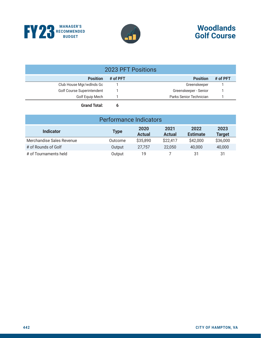





|                                   |          | <b>2023 PFT Positions</b> |            |
|-----------------------------------|----------|---------------------------|------------|
| <b>Position</b>                   | # of PFT | <b>Position</b>           | $#$ of PFT |
| Club House Mgr/wdlnds Gc          |          | Greenskeeper              |            |
| <b>Golf Course Superintendent</b> |          | Greenskeeper - Senior     |            |
| Golf Equip Mech                   |          | Parks Senior Technician   |            |
| <b>Grand Total:</b>               | b        |                           |            |

| Performance Indicators    |             |                       |                       |                         |                       |  |  |  |
|---------------------------|-------------|-----------------------|-----------------------|-------------------------|-----------------------|--|--|--|
| <b>Indicator</b>          | <b>Type</b> | 2020<br><b>Actual</b> | 2021<br><b>Actual</b> | 2022<br><b>Estimate</b> | 2023<br><b>Target</b> |  |  |  |
| Merchandise Sales Revenue | Outcome     | \$35,890              | \$22,417              | \$42,000                | \$36,000              |  |  |  |
| # of Rounds of Golf       | Output      | 27.757                | 22,050                | 40,000                  | 40,000                |  |  |  |
| # of Tournaments held     | Output      | 19                    |                       | 31                      | 31                    |  |  |  |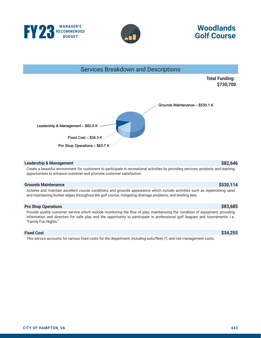





## Services Breakdown and Descriptions

**Total Funding: \$730,700**



### **Leadership & Management \$82,646**

Create a beautiful environment for customers to participate in recreational activities by providing services, products and learning opportunities to enhance customer and promote customer satisfaction.

### **Grounds Maintenance \$530,114**

Achieve and maintain excellent course conditions and grounds appearance which include activities such as replenishing sand and maintaining bunker edges throughout the golf course, mitigating drainage problems, and leveling tees.

## **Pro Shop Operations \$83,685**

Provide quality customer service which include monitoring the flow of play; maintainoing the condition of equipment; providing information and direction for safe play and the opportunity to participate in professional golf leagues and tournaments, i.e. "Family Fun Nights."

### **Fixed Cost \$34,255**

This service accounts for various fixed costs for the department, including auto/fleet, IT, and risk management costs.